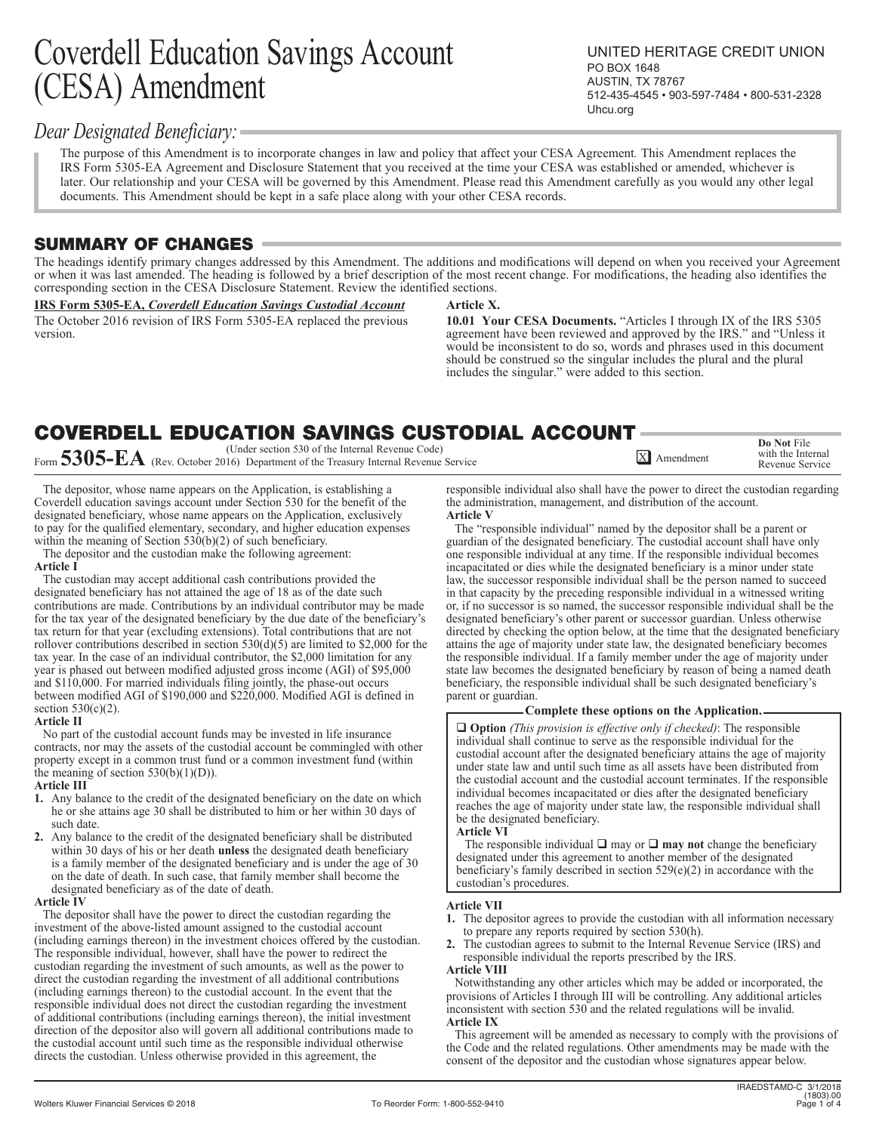# Coverdell Education Savings Account (CESA) Amendment

# *Dear Designated Beneficiary:*

The purpose of this Amendment is to incorporate changes in law and policy that affect your CESA Agreement*.* This Amendment replaces the IRS Form 5305-EA Agreement and Disclosure Statement that you received at the time your CESA was established or amended, whichever is later. Our relationship and your CESA will be governed by this Amendment. Please read this Amendment carefully as you would any other legal documents. This Amendment should be kept in a safe place along with your other CESA records.

# SUMMARY OF CHANGES

The headings identify primary changes addressed by this Amendment. The additions and modifications will depend on when you received your Agreement or when it was last amended. The heading is followed by a brief description of the most recent change. For modifications, the heading also identifies the corresponding section in the CESA Disclosure Statement. Review the identified sections.

#### **IRS Form 5305-EA,** *Coverdell Education Savings Custodial Account*

The October 2016 revision of IRS Form 5305-EA replaced the previous version.

#### **Article X.**

**10.01 Your CESA Documents.** "Articles I through IX of the IRS 5305 agreement have been reviewed and approved by the IRS." and "Unless it would be inconsistent to do so, words and phrases used in this document should be construed so the singular includes the plural and the plural includes the singular." were added to this section.

#### COVERDELL EDUCATION SAVINGS CUSTODIAL ACCOUNT **Do Not** File

| Form 5305-EA | (Under section 530 of the Internal Revenue Code)<br>v. October 2016) Department of the Treasury Internal Revenue Service<br>(Rev. | Amendment | 1001101110<br>with the<br>Internal<br>Revenue Service |
|--------------|-----------------------------------------------------------------------------------------------------------------------------------|-----------|-------------------------------------------------------|
|--------------|-----------------------------------------------------------------------------------------------------------------------------------|-----------|-------------------------------------------------------|

The depositor, whose name appears on the Application, is establishing a Coverdell education savings account under Section 530 for the benefit of the designated beneficiary, whose name appears on the Application, exclusively to pay for the qualified elementary, secondary, and higher education expenses within the meaning of Section  $530(b)(2)$  of such beneficiary.

The depositor and the custodian make the following agreement:

#### **Article I** The custodian may accept additional cash contributions provided the designated beneficiary has not attained the age of 18 as of the date such contributions are made. Contributions by an individual contributor may be made for the tax year of the designated beneficiary by the due date of the beneficiary's tax return for that year (excluding extensions). Total contributions that are not rollover contributions described in section  $530(d)(5)$  are limited to \$2,000 for the tax year. In the case of an individual contributor, the \$2,000 limitation for any year is phased out between modified adjusted gross income (AGI) of \$95,000 and \$110,000. For married individuals filing jointly, the phase-out occurs between modified AGI of \$190,000 and \$220,000. Modified AGI is defined in section  $530(c)(2)$ .

#### **Article II**

No part of the custodial account funds may be invested in life insurance contracts, nor may the assets of the custodial account be commingled with other property except in a common trust fund or a common investment fund (within the meaning of section  $530(b)(1)(D)$ .

#### **Article III**

- **1.** Any balance to the credit of the designated beneficiary on the date on which he or she attains age 30 shall be distributed to him or her within 30 days of such date.
- **2.** Any balance to the credit of the designated beneficiary shall be distributed within 30 days of his or her death **unless** the designated death beneficiary is a family member of the designated beneficiary and is under the age of 30 on the date of death. In such case, that family member shall become the designated beneficiary as of the date of death.

#### **Article IV**

The depositor shall have the power to direct the custodian regarding the investment of the above-listed amount assigned to the custodial account (including earnings thereon) in the investment choices offered by the custodian. The responsible individual, however, shall have the power to redirect the custodian regarding the investment of such amounts, as well as the power to direct the custodian regarding the investment of all additional contributions (including earnings thereon) to the custodial account. In the event that the responsible individual does not direct the custodian regarding the investment of additional contributions (including earnings thereon), the initial investment direction of the depositor also will govern all additional contributions made to the custodial account until such time as the responsible individual otherwise directs the custodian. Unless otherwise provided in this agreement, the

responsible individual also shall have the power to direct the custodian regarding the administration, management, and distribution of the account. **Article V**

The "responsible individual" named by the depositor shall be a parent or guardian of the designated beneficiary. The custodial account shall have only one responsible individual at any time. If the responsible individual becomes incapacitated or dies while the designated beneficiary is a minor under state law, the successor responsible individual shall be the person named to succeed in that capacity by the preceding responsible individual in a witnessed writing or, if no successor is so named, the successor responsible individual shall be the designated beneficiary's other parent or successor guardian. Unless otherwise directed by checking the option below, at the time that the designated beneficiary attains the age of majority under state law, the designated beneficiary becomes the responsible individual. If a family member under the age of majority under state law becomes the designated beneficiary by reason of being a named death beneficiary, the responsible individual shall be such designated beneficiary's parent or guardian.

#### **Complete these options on the Application.**

**□ Option** *(This provision is effective only if checked)*: The responsible individual shall continue to serve as the responsible individual for the custodial account after the designated beneficiary attains the age of majority under state law and until such time as all assets have been distributed from the custodial account and the custodial account terminates. If the responsible individual becomes incapacitated or dies after the designated beneficiary reaches the age of majority under state law, the responsible individual shall be the designated beneficiary.

#### **Article VI**

The responsible individual  $\Box$  may or  $\Box$  **may not** change the beneficiary designated under this agreement to another member of the designated beneficiary's family described in section  $529(e)(2)$  in accordance with the custodian's procedures.

#### **Article VII**

- **1.** The depositor agrees to provide the custodian with all information necessary to prepare any reports required by section 530(h).
- **2.** The custodian agrees to submit to the Internal Revenue Service (IRS) and responsible individual the reports prescribed by the IRS.
- **Article VIII**

Notwithstanding any other articles which may be added or incorporated, the provisions of Articles I through III will be controlling. Any additional articles inconsistent with section 530 and the related regulations will be invalid. **Article IX**

This agreement will be amended as necessary to comply with the provisions of the Code and the related regulations. Other amendments may be made with the consent of the depositor and the custodian whose signatures appear below.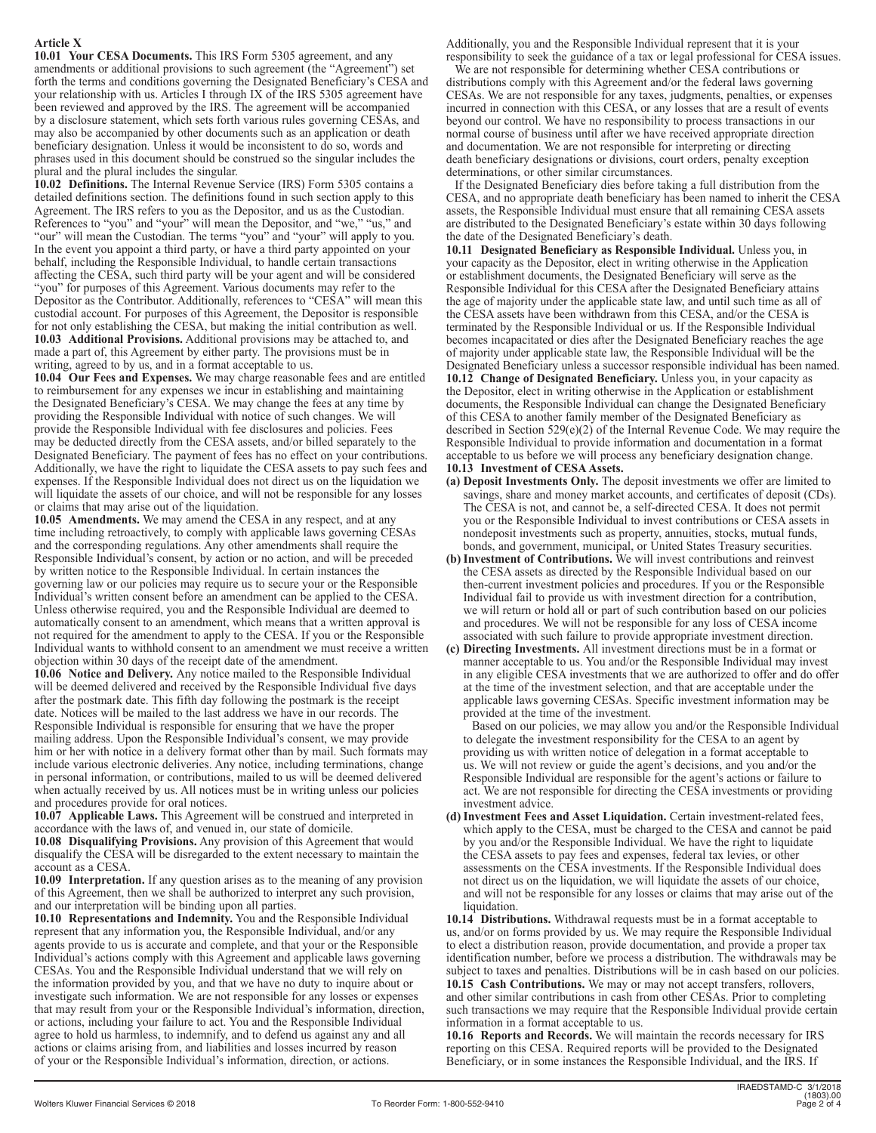#### **Article X**

**10.01 Your CESA Documents.** This IRS Form 5305 agreement, and any amendments or additional provisions to such agreement (the "Agreement") set forth the terms and conditions governing the Designated Beneficiary's CESA and your relationship with us. Articles I through IX of the IRS 5305 agreement have been reviewed and approved by the IRS. The agreement will be accompanied by a disclosure statement, which sets forth various rules governing CESAs, and may also be accompanied by other documents such as an application or death beneficiary designation. Unless it would be inconsistent to do so, words and phrases used in this document should be construed so the singular includes the plural and the plural includes the singular.

**10.02 Definitions.** The Internal Revenue Service (IRS) Form 5305 contains a detailed definitions section. The definitions found in such section apply to this Agreement. The IRS refers to you as the Depositor, and us as the Custodian. References to "you" and "your" will mean the Depositor, and "we," "us," and "our" will mean the Custodian. The terms "you" and "your" will apply to you. In the event you appoint a third party, or have a third party appointed on your behalf, including the Responsible Individual, to handle certain transactions affecting the CESA, such third party will be your agent and will be considered "you" for purposes of this Agreement. Various documents may refer to the Depositor as the Contributor. Additionally, references to "CESA" will mean this custodial account. For purposes of this Agreement, the Depositor is responsible for not only establishing the CESA, but making the initial contribution as well. **10.03 Additional Provisions.** Additional provisions may be attached to, and made a part of, this Agreement by either party. The provisions must be in writing, agreed to by us, and in a format acceptable to us.

**10.04 Our Fees and Expenses.** We may charge reasonable fees and are entitled to reimbursement for any expenses we incur in establishing and maintaining the Designated Beneficiary's CESA. We may change the fees at any time by providing the Responsible Individual with notice of such changes. We will provide the Responsible Individual with fee disclosures and policies. Fees may be deducted directly from the CESA assets, and/or billed separately to the Designated Beneficiary. The payment of fees has no effect on your contributions. Additionally, we have the right to liquidate the CESA assets to pay such fees and expenses. If the Responsible Individual does not direct us on the liquidation we will liquidate the assets of our choice, and will not be responsible for any losses or claims that may arise out of the liquidation.

**10.05 Amendments.** We may amend the CESA in any respect, and at any time including retroactively, to comply with applicable laws governing CESAs and the corresponding regulations. Any other amendments shall require the Responsible Individual's consent, by action or no action, and will be preceded by written notice to the Responsible Individual. In certain instances the governing law or our policies may require us to secure your or the Responsible Individual's written consent before an amendment can be applied to the CESA. Unless otherwise required, you and the Responsible Individual are deemed to automatically consent to an amendment, which means that a written approval is not required for the amendment to apply to the CESA. If you or the Responsible Individual wants to withhold consent to an amendment we must receive a written objection within 30 days of the receipt date of the amendment.

**10.06 Notice and Delivery.** Any notice mailed to the Responsible Individual will be deemed delivered and received by the Responsible Individual five days after the postmark date. This fifth day following the postmark is the receipt date. Notices will be mailed to the last address we have in our records. The Responsible Individual is responsible for ensuring that we have the proper mailing address. Upon the Responsible Individual's consent, we may provide him or her with notice in a delivery format other than by mail. Such formats may include various electronic deliveries. Any notice, including terminations, change in personal information, or contributions, mailed to us will be deemed delivered when actually received by us. All notices must be in writing unless our policies and procedures provide for oral notices.

**10.07 Applicable Laws.** This Agreement will be construed and interpreted in accordance with the laws of, and venued in, our state of domicile.

**10.08 Disqualifying Provisions.** Any provision of this Agreement that would disqualify the CESA will be disregarded to the extent necessary to maintain the account as a CESA.

**10.09 Interpretation.** If any question arises as to the meaning of any provision of this Agreement, then we shall be authorized to interpret any such provision, and our interpretation will be binding upon all parties.

**10.10 Representations and Indemnity.** You and the Responsible Individual represent that any information you, the Responsible Individual, and/or any agents provide to us is accurate and complete, and that your or the Responsible Individual's actions comply with this Agreement and applicable laws governing CESAs. You and the Responsible Individual understand that we will rely on the information provided by you, and that we have no duty to inquire about or investigate such information. We are not responsible for any losses or expenses that may result from your or the Responsible Individual's information, direction, or actions, including your failure to act. You and the Responsible Individual agree to hold us harmless, to indemnify, and to defend us against any and all actions or claims arising from, and liabilities and losses incurred by reason of your or the Responsible Individual's information, direction, or actions.

Additionally, you and the Responsible Individual represent that it is your responsibility to seek the guidance of a tax or legal professional for CESA issues.

We are not responsible for determining whether CESA contributions or distributions comply with this Agreement and/or the federal laws governing CESAs. We are not responsible for any taxes, judgments, penalties, or expenses incurred in connection with this CESA, or any losses that are a result of events beyond our control. We have no responsibility to process transactions in our normal course of business until after we have received appropriate direction and documentation. We are not responsible for interpreting or directing death beneficiary designations or divisions, court orders, penalty exception determinations, or other similar circumstances.

If the Designated Beneficiary dies before taking a full distribution from the CESA, and no appropriate death beneficiary has been named to inherit the CESA assets, the Responsible Individual must ensure that all remaining CESA assets are distributed to the Designated Beneficiary's estate within 30 days following the date of the Designated Beneficiary's death.

**10.11 Designated Beneficiary as Responsible Individual.** Unless you, in your capacity as the Depositor, elect in writing otherwise in the Application or establishment documents, the Designated Beneficiary will serve as the Responsible Individual for this CESA after the Designated Beneficiary attains the age of majority under the applicable state law, and until such time as all of the CESA assets have been withdrawn from this CESA, and/or the CESA is terminated by the Responsible Individual or us. If the Responsible Individual becomes incapacitated or dies after the Designated Beneficiary reaches the age of majority under applicable state law, the Responsible Individual will be the Designated Beneficiary unless a successor responsible individual has been named. **10.12 Change of Designated Beneficiary.** Unless you, in your capacity as the Depositor, elect in writing otherwise in the Application or establishment documents, the Responsible Individual can change the Designated Beneficiary of this CESA to another family member of the Designated Beneficiary as described in Section 529(e)(2) of the Internal Revenue Code. We may require the Responsible Individual to provide information and documentation in a format acceptable to us before we will process any beneficiary designation change. **10.13 Investment of CESA Assets.**

- **(a) Deposit Investments Only.** The deposit investments we offer are limited to savings, share and money market accounts, and certificates of deposit (CDs). The CESA is not, and cannot be, a self-directed CESA. It does not permit you or the Responsible Individual to invest contributions or CESA assets in nondeposit investments such as property, annuities, stocks, mutual funds, bonds, and government, municipal, or United States Treasury securities.
- **(b) Investment of Contributions.** We will invest contributions and reinvest the CESA assets as directed by the Responsible Individual based on our then-current investment policies and procedures. If you or the Responsible Individual fail to provide us with investment direction for a contribution, we will return or hold all or part of such contribution based on our policies and procedures. We will not be responsible for any loss of CESA income associated with such failure to provide appropriate investment direction.
- **(c) Directing Investments.** All investment directions must be in a format or manner acceptable to us. You and/or the Responsible Individual may invest in any eligible CESA investments that we are authorized to offer and do offer at the time of the investment selection, and that are acceptable under the applicable laws governing CESAs. Specific investment information may be provided at the time of the investment.

Based on our policies, we may allow you and/or the Responsible Individual to delegate the investment responsibility for the CESA to an agent by providing us with written notice of delegation in a format acceptable to us. We will not review or guide the agent's decisions, and you and/or the Responsible Individual are responsible for the agent's actions or failure to act. We are not responsible for directing the CESA investments or providing investment advice.

**(d) Investment Fees and Asset Liquidation.** Certain investment-related fees, which apply to the CESA, must be charged to the CESA and cannot be paid by you and/or the Responsible Individual. We have the right to liquidate the CESA assets to pay fees and expenses, federal tax levies, or other assessments on the CESA investments. If the Responsible Individual does not direct us on the liquidation, we will liquidate the assets of our choice, and will not be responsible for any losses or claims that may arise out of the liquidation.

**10.14 Distributions.** Withdrawal requests must be in a format acceptable to us, and/or on forms provided by us. We may require the Responsible Individual to elect a distribution reason, provide documentation, and provide a proper tax identification number, before we process a distribution. The withdrawals may be subject to taxes and penalties. Distributions will be in cash based on our policies. **10.15 Cash Contributions.** We may or may not accept transfers, rollovers, and other similar contributions in cash from other CESAs. Prior to completing such transactions we may require that the Responsible Individual provide certain information in a format acceptable to us.

**10.16 Reports and Records.** We will maintain the records necessary for IRS reporting on this CESA. Required reports will be provided to the Designated Beneficiary, or in some instances the Responsible Individual, and the IRS. If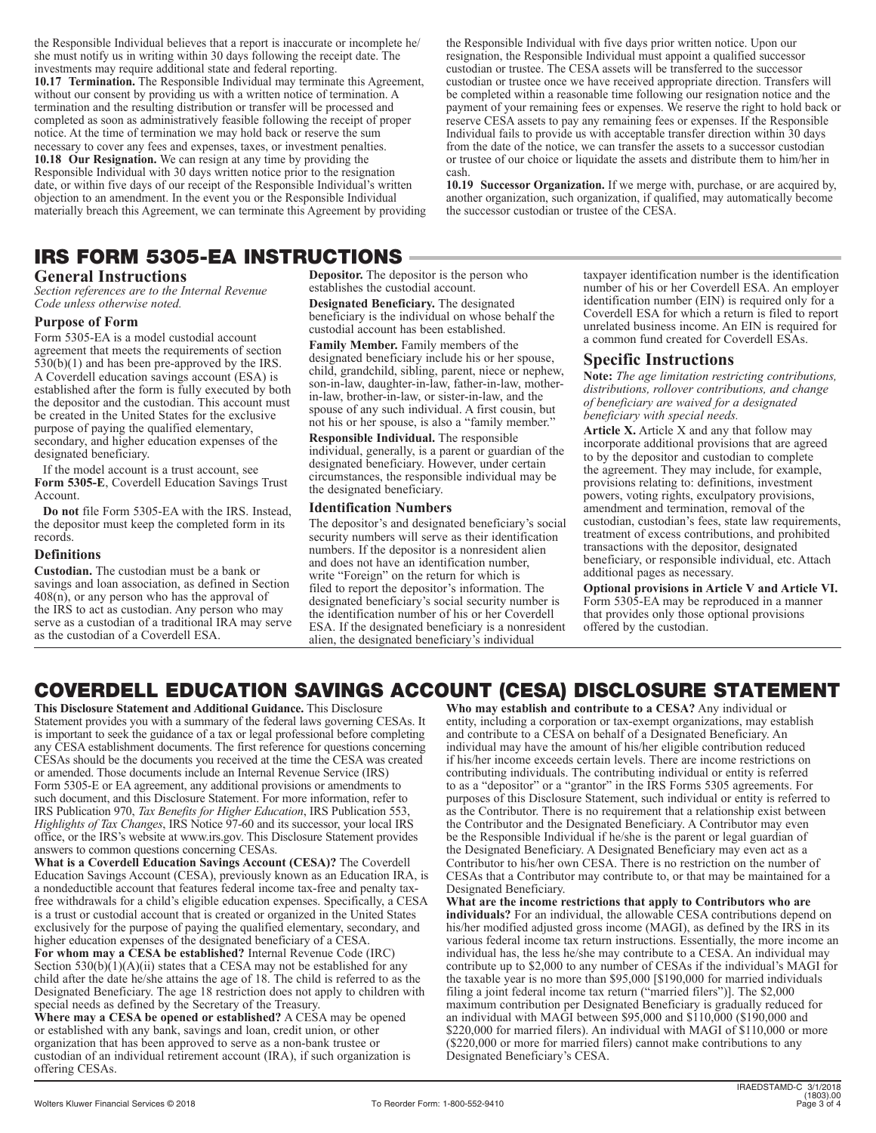the Responsible Individual believes that a report is inaccurate or incomplete he/ she must notify us in writing within 30 days following the receipt date. The investments may require additional state and federal reporting. **10.17 Termination.** The Responsible Individual may terminate this Agreement, without our consent by providing us with a written notice of termination. A termination and the resulting distribution or transfer will be processed and completed as soon as administratively feasible following the receipt of proper notice. At the time of termination we may hold back or reserve the sum necessary to cover any fees and expenses, taxes, or investment penalties. **10.18 Our Resignation.** We can resign at any time by providing the Responsible Individual with 30 days written notice prior to the resignation date, or within five days of our receipt of the Responsible Individual's written objection to an amendment. In the event you or the Responsible Individual materially breach this Agreement, we can terminate this Agreement by providing

the Responsible Individual with five days prior written notice. Upon our resignation, the Responsible Individual must appoint a qualified successor custodian or trustee. The CESA assets will be transferred to the successor custodian or trustee once we have received appropriate direction. Transfers will be completed within a reasonable time following our resignation notice and the payment of your remaining fees or expenses. We reserve the right to hold back or reserve CESA assets to pay any remaining fees or expenses. If the Responsible Individual fails to provide us with acceptable transfer direction within 30 days from the date of the notice, we can transfer the assets to a successor custodian or trustee of our choice or liquidate the assets and distribute them to him/her in cash.

**10.19 Successor Organization.** If we merge with, purchase, or are acquired by, another organization, such organization, if qualified, may automatically become the successor custodian or trustee of the CESA.

# IRS FORM 5305-EA INSTRUCTIONS

## **General Instructions**

*Section references are to the Internal Revenue Code unless otherwise noted.*

### **Purpose of Form**

Form 5305-EA is a model custodial account agreement that meets the requirements of section 530(b)(1) and has been pre-approved by the IRS. A Coverdell education savings account (ESA) is established after the form is fully executed by both the depositor and the custodian. This account must be created in the United States for the exclusive purpose of paying the qualified elementary, secondary, and higher education expenses of the designated beneficiary.

If the model account is a trust account, see **Form 5305-E**, Coverdell Education Savings Trust Account.

**Do not** file Form 5305-EA with the IRS. Instead, the depositor must keep the completed form in its records.

### **Definitions**

**Custodian.** The custodian must be a bank or savings and loan association, as defined in Section  $408(n)$ , or any person who has the approval of the IRS to act as custodian. Any person who may serve as a custodian of a traditional IRA may serve as the custodian of a Coverdell ESA.

**Depositor.** The depositor is the person who establishes the custodial account.

**Designated Beneficiary.** The designated beneficiary is the individual on whose behalf the custodial account has been established.

**Family Member.** Family members of the designated beneficiary include his or her spouse, child, grandchild, sibling, parent, niece or nephew, son-in-law, daughter-in-law, father-in-law, motherin-law, brother-in-law, or sister-in-law, and the spouse of any such individual. A first cousin, but not his or her spouse, is also a "family member."

**Responsible Individual.** The responsible individual, generally, is a parent or guardian of the designated beneficiary. However, under certain circumstances, the responsible individual may be the designated beneficiary.

### **Identification Numbers**

The depositor's and designated beneficiary's social security numbers will serve as their identification numbers. If the depositor is a nonresident alien and does not have an identification number, write "Foreign" on the return for which is filed to report the depositor's information. The designated beneficiary's social security number is the identification number of his or her Coverdell ESA. If the designated beneficiary is a nonresident alien, the designated beneficiary's individual

taxpayer identification number is the identification number of his or her Coverdell ESA. An employer identification number (EIN) is required only for a Coverdell ESA for which a return is filed to report unrelated business income. An EIN is required for a common fund created for Coverdell ESAs.

### **Specific Instructions**

**Note:** *The age limitation restricting contributions, distributions, rollover contributions, and change of beneficiary are waived for a designated beneficiary with special needs.*

**Article X.** Article X and any that follow may incorporate additional provisions that are agreed to by the depositor and custodian to complete the agreement. They may include, for example, provisions relating to: definitions, investment powers, voting rights, exculpatory provisions, amendment and termination, removal of the custodian, custodian's fees, state law requirements, treatment of excess contributions, and prohibited transactions with the depositor, designated beneficiary, or responsible individual, etc. Attach additional pages as necessary.

**Optional provisions in Article V and Article VI.**  Form 5305-EA may be reproduced in a manner that provides only those optional provisions offered by the custodian.

# COVERDELL EDUCATION SAVINGS ACCOUNT (CESA) DISCLOSURE STATEMENT

**This Disclosure Statement and Additional Guidance.** This Disclosure Statement provides you with a summary of the federal laws governing CESAs. It is important to seek the guidance of a tax or legal professional before completing any CESA establishment documents. The first reference for questions concerning CESAs should be the documents you received at the time the CESA was created or amended. Those documents include an Internal Revenue Service (IRS) Form 5305-E or EA agreement, any additional provisions or amendments to such document, and this Disclosure Statement. For more information, refer to IRS Publication 970, *Tax Benefits for Higher Education*, IRS Publication 553, *Highlights of Tax Changes*, IRS Notice 97-60 and its successor, your local IRS office, or the IRS's website at www.irs.gov. This Disclosure Statement provides answers to common questions concerning CESAs.

**What is a Coverdell Education Savings Account (CESA)?** The Coverdell Education Savings Account (CESA), previously known as an Education IRA, is a nondeductible account that features federal income tax-free and penalty taxfree withdrawals for a child's eligible education expenses. Specifically, a CESA is a trust or custodial account that is created or organized in the United States exclusively for the purpose of paying the qualified elementary, secondary, and higher education expenses of the designated beneficiary of a CESA.

**For whom may a CESA be established?** Internal Revenue Code (IRC) Section  $530(b)(1)(A)(ii)$  states that a CESA may not be established for any child after the date he/she attains the age of 18. The child is referred to as the Designated Beneficiary. The age 18 restriction does not apply to children with special needs as defined by the Secretary of the Treasury.

**Where may a CESA be opened or established?** A CESA may be opened or established with any bank, savings and loan, credit union, or other organization that has been approved to serve as a non-bank trustee or custodian of an individual retirement account (IRA), if such organization is offering CESAs.

**Who may establish and contribute to a CESA?** Any individual or entity, including a corporation or tax-exempt organizations, may establish and contribute to a CESA on behalf of a Designated Beneficiary. An individual may have the amount of his/her eligible contribution reduced if his/her income exceeds certain levels. There are income restrictions on contributing individuals. The contributing individual or entity is referred to as a "depositor" or a "grantor" in the IRS Forms 5305 agreements. For purposes of this Disclosure Statement, such individual or entity is referred to as the Contributor. There is no requirement that a relationship exist between the Contributor and the Designated Beneficiary. A Contributor may even be the Responsible Individual if he/she is the parent or legal guardian of the Designated Beneficiary. A Designated Beneficiary may even act as a Contributor to his/her own CESA. There is no restriction on the number of CESAs that a Contributor may contribute to, or that may be maintained for a Designated Beneficiary.

**What are the income restrictions that apply to Contributors who are individuals?** For an individual, the allowable CESA contributions depend on his/her modified adjusted gross income (MAGI), as defined by the IRS in its various federal income tax return instructions. Essentially, the more income an individual has, the less he/she may contribute to a CESA. An individual may contribute up to \$2,000 to any number of CESAs if the individual's MAGI for the taxable year is no more than \$95,000 [\$190,000 for married individuals filing a joint federal income tax return ("married filers")]. The \$2,000 maximum contribution per Designated Beneficiary is gradually reduced for an individual with MAGI between \$95,000 and \$110,000 (\$190,000 and \$220,000 for married filers). An individual with MAGI of \$110,000 or more (\$220,000 or more for married filers) cannot make contributions to any Designated Beneficiary's CESA.